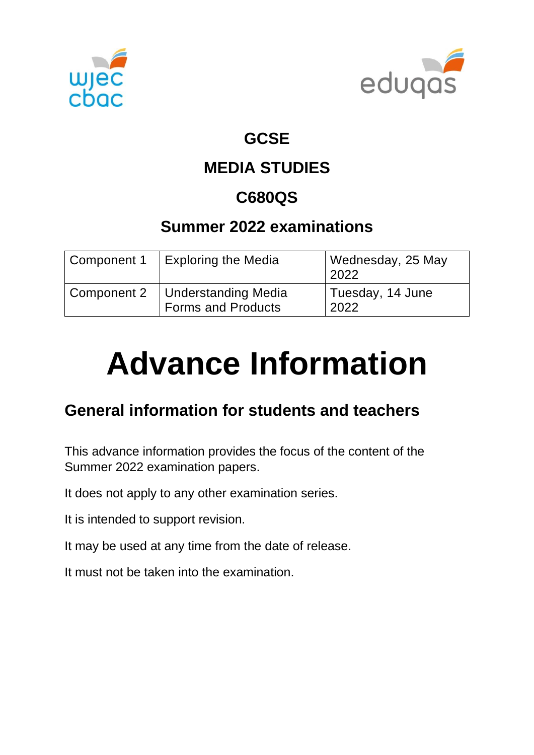



## **GCSE**

# **MEDIA STUDIES**

# **C680QS**

# **Summer 2022 examinations**

| Component 1 | <b>Exploring the Media</b>                | Wednesday, 25 May<br>2022 |
|-------------|-------------------------------------------|---------------------------|
| Component 2 | Understanding Media<br>Forms and Products | Tuesday, 14 June<br>2022  |

# **Advance Information**

# **General information for students and teachers**

This advance information provides the focus of the content of the Summer 2022 examination papers.

It does not apply to any other examination series.

It is intended to support revision.

It may be used at any time from the date of release.

It must not be taken into the examination.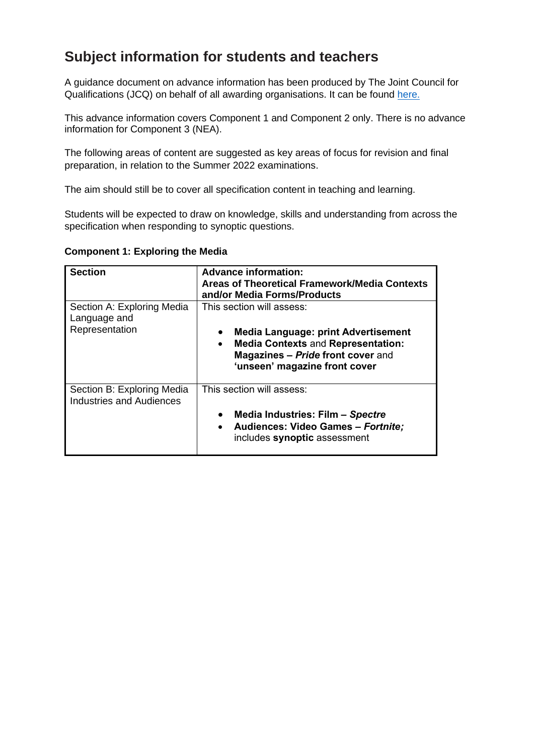### **Subject information for students and teachers**

A guidance document on advance information has been produced by The Joint Council for Qualifications (JCQ) on behalf of all awarding organisations. It can be found [here.](https://www.jcq.org.uk/wp-content/uploads/2021/10/Advance-Information-for-General-Qualifications-2021-22.pdf)

This advance information covers Component 1 and Component 2 only. There is no advance information for Component 3 (NEA).

The following areas of content are suggested as key areas of focus for revision and final preparation, in relation to the Summer 2022 examinations.

The aim should still be to cover all specification content in teaching and learning.

Students will be expected to draw on knowledge, skills and understanding from across the specification when responding to synoptic questions.

| <b>Section</b>                                                | <b>Advance information:</b><br><b>Areas of Theoretical Framework/Media Contexts</b><br>and/or Media Forms/Products                                                                                                          |
|---------------------------------------------------------------|-----------------------------------------------------------------------------------------------------------------------------------------------------------------------------------------------------------------------------|
| Section A: Exploring Media<br>Language and<br>Representation  | This section will assess:<br><b>Media Language: print Advertisement</b><br>$\bullet$<br><b>Media Contexts and Representation:</b><br>$\bullet$<br><b>Magazines - Pride front cover and</b><br>'unseen' magazine front cover |
| Section B: Exploring Media<br><b>Industries and Audiences</b> | This section will assess:<br>Media Industries: Film - Spectre<br>$\bullet$<br>Audiences: Video Games - Fortnite;<br>$\bullet$<br>includes synoptic assessment                                                               |

#### **Component 1: Exploring the Media**